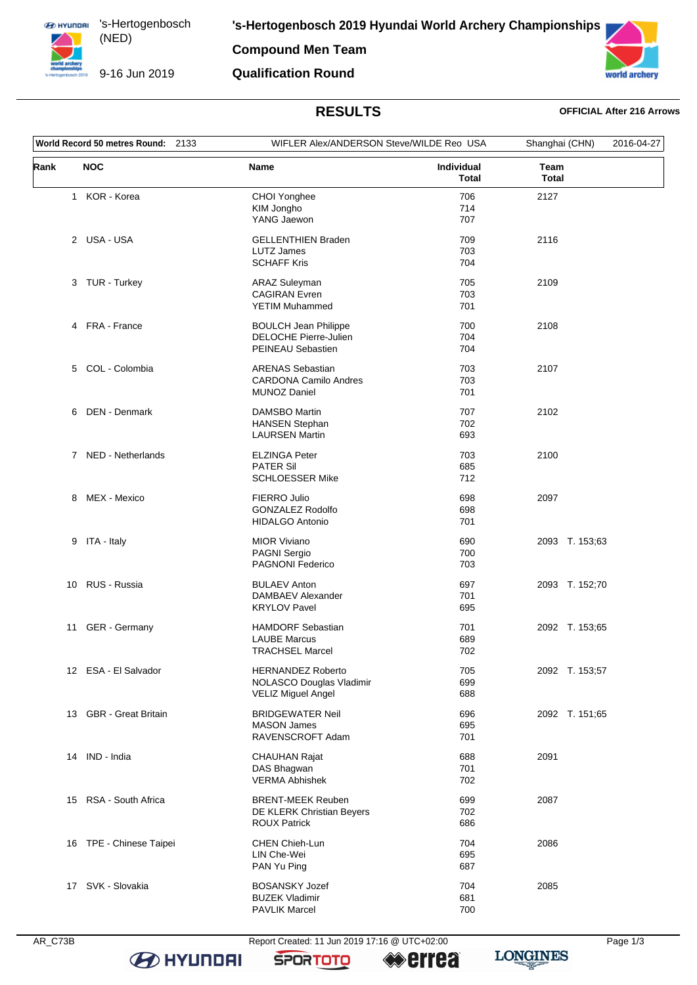**ED HYUNDRI** 's-Hertogenbosch (NED) 

9-16 Jun 2019

**Compound Men Team**

### **Qualification Round**



# **RESULTS OFFICIAL After 216 Arrows**

| World Record 50 metres Round: 2133 |                         | WIFLER Alex/ANDERSON Steve/WILDE Reo USA                                          |                            | Shanghai (CHN)       | 2016-04-27 |
|------------------------------------|-------------------------|-----------------------------------------------------------------------------------|----------------------------|----------------------|------------|
| Rank                               | <b>NOC</b>              | Name                                                                              | Individual<br><b>Total</b> | Team<br><b>Total</b> |            |
|                                    | 1 KOR - Korea           | CHOI Yonghee<br>KIM Jongho<br>YANG Jaewon                                         | 706<br>714<br>707          | 2127                 |            |
|                                    | 2 USA - USA             | <b>GELLENTHIEN Braden</b><br><b>LUTZ James</b><br><b>SCHAFF Kris</b>              | 709<br>703<br>704          | 2116                 |            |
|                                    | 3 TUR - Turkey          | <b>ARAZ Suleyman</b><br><b>CAGIRAN</b> Evren<br><b>YETIM Muhammed</b>             | 705<br>703<br>701          | 2109                 |            |
|                                    | 4 FRA - France          | <b>BOULCH Jean Philippe</b><br>DELOCHE Pierre-Julien<br>PEINEAU Sebastien         | 700<br>704<br>704          | 2108                 |            |
| 5                                  | COL - Colombia          | <b>ARENAS Sebastian</b><br><b>CARDONA Camilo Andres</b><br><b>MUNOZ Daniel</b>    | 703<br>703<br>701          | 2107                 |            |
| 6                                  | DEN - Denmark           | <b>DAMSBO Martin</b><br><b>HANSEN Stephan</b><br><b>LAURSEN Martin</b>            | 707<br>702<br>693          | 2102                 |            |
|                                    | 7 NED - Netherlands     | <b>ELZINGA Peter</b><br><b>PATER Sil</b><br><b>SCHLOESSER Mike</b>                | 703<br>685<br>712          | 2100                 |            |
| 8                                  | MEX - Mexico            | <b>FIERRO Julio</b><br><b>GONZALEZ Rodolfo</b><br><b>HIDALGO Antonio</b>          | 698<br>698<br>701          | 2097                 |            |
|                                    | 9 ITA - Italy           | <b>MIOR Viviano</b><br>PAGNI Sergio<br>PAGNONI Federico                           | 690<br>700<br>703          | 2093 T. 153;63       |            |
| 10                                 | RUS - Russia            | <b>BULAEV Anton</b><br>DAMBAEV Alexander<br><b>KRYLOV Pavel</b>                   | 697<br>701<br>695          | 2093 T. 152;70       |            |
| 11                                 | GER - Germany           | <b>HAMDORF Sebastian</b><br><b>LAUBE Marcus</b><br><b>TRACHSEL Marcel</b>         | 701<br>689<br>702          | 2092 T. 153;65       |            |
|                                    | 12 ESA - El Salvador    | <b>HERNANDEZ Roberto</b><br>NOLASCO Douglas Vladimir<br><b>VELIZ Miguel Angel</b> | 705<br>699<br>688          | 2092 T. 153;57       |            |
|                                    | 13 GBR - Great Britain  | <b>BRIDGEWATER Neil</b><br><b>MASON James</b><br>RAVENSCROFT Adam                 | 696<br>695<br>701          | 2092 T. 151;65       |            |
|                                    | 14 IND - India          | <b>CHAUHAN Rajat</b><br>DAS Bhagwan<br><b>VERMA Abhishek</b>                      | 688<br>701<br>702          | 2091                 |            |
|                                    | 15 RSA - South Africa   | <b>BRENT-MEEK Reuben</b><br>DE KLERK Christian Beyers<br><b>ROUX Patrick</b>      | 699<br>702<br>686          | 2087                 |            |
|                                    | 16 TPE - Chinese Taipei | <b>CHEN Chieh-Lun</b><br>LIN Che-Wei<br>PAN Yu Ping                               | 704<br>695<br>687          | 2086                 |            |
|                                    | 17 SVK - Slovakia       | <b>BOSANSKY Jozef</b><br><b>BUZEK Vladimir</b><br><b>PAVLIK Marcel</b>            | 704<br>681<br>700          | 2085                 |            |

**B** HYUNDAI

AR\_C73B Report Created: 11 Jun 2019 17:16 @ UTC+02:00 Page 1/3

**SPORTOTO** 

**errea** 

**LONGINES**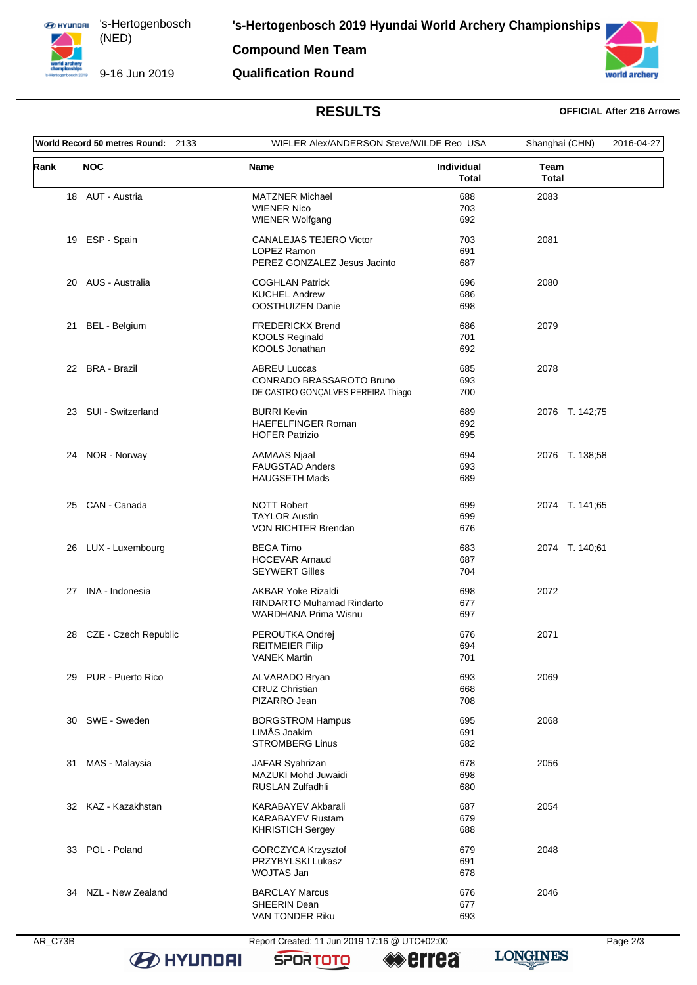**ED HYUNDRI** 's-Hertogenbosch (NED) 

**Compound Men Team**

### 9-16 Jun 2019 **Qualification Round**



# **RESULTS OFFICIAL After 216 Arrows**

| World Record 50 metres Round: 2133 |                         | WIFLER Alex/ANDERSON Steve/WILDE Reo USA                                                     |                            | Shanghai (CHN)       | 2016-04-27 |
|------------------------------------|-------------------------|----------------------------------------------------------------------------------------------|----------------------------|----------------------|------------|
| Rank                               | <b>NOC</b>              | <b>Name</b>                                                                                  | Individual<br><b>Total</b> | Team<br><b>Total</b> |            |
|                                    | 18 AUT - Austria        | <b>MATZNER Michael</b><br><b>WIENER Nico</b><br><b>WIENER Wolfgang</b>                       | 688<br>703<br>692          | 2083                 |            |
| 19                                 | ESP - Spain             | CANALEJAS TEJERO Victor<br>LOPEZ Ramon<br>PEREZ GONZALEZ Jesus Jacinto                       | 703<br>691<br>687          | 2081                 |            |
|                                    | 20 AUS - Australia      | <b>COGHLAN Patrick</b><br><b>KUCHEL Andrew</b><br>OOSTHUIZEN Danie                           | 696<br>686<br>698          | 2080                 |            |
|                                    | 21 BEL - Belgium        | <b>FREDERICKX Brend</b><br><b>KOOLS Reginald</b><br>KOOLS Jonathan                           | 686<br>701<br>692          | 2079                 |            |
|                                    | 22 BRA - Brazil         | <b>ABREU Luccas</b><br>CONRADO BRASSAROTO Bruno<br>DE CASTRO GONÇALVES PEREIRA Thiago        | 685<br>693<br>700          | 2078                 |            |
|                                    | 23 SUI - Switzerland    | <b>BURRI Kevin</b><br><b>HAEFELFINGER Roman</b><br><b>HOFER Patrizio</b>                     | 689<br>692<br>695          | 2076 T. 142;75       |            |
|                                    | 24 NOR - Norway         | <b>AAMAAS Njaal</b><br><b>FAUGSTAD Anders</b><br><b>HAUGSETH Mads</b>                        | 694<br>693<br>689          | 2076 T. 138;58       |            |
|                                    | 25 CAN - Canada         | <b>NOTT Robert</b><br><b>TAYLOR Austin</b><br>VON RICHTER Brendan                            | 699<br>699<br>676          | 2074 T. 141;65       |            |
|                                    | 26 LUX - Luxembourg     | <b>BEGA Timo</b><br><b>HOCEVAR Arnaud</b><br><b>SEYWERT Gilles</b>                           | 683<br>687<br>704          | 2074 T. 140;61       |            |
|                                    | 27 INA - Indonesia      | <b>AKBAR Yoke Rizaldi</b><br><b>RINDARTO Muhamad Rindarto</b><br><b>WARDHANA Prima Wisnu</b> | 698<br>677<br>697          | 2072                 |            |
|                                    | 28 CZE - Czech Republic | PEROUTKA Ondrej<br><b>REITMEIER Filip</b><br><b>VANEK Martin</b>                             | 676<br>694<br>701          | 2071                 |            |
|                                    | 29 PUR - Puerto Rico    | ALVARADO Bryan<br><b>CRUZ Christian</b><br>PIZARRO Jean                                      | 693<br>668<br>708          | 2069                 |            |
|                                    | 30 SWE - Sweden         | <b>BORGSTROM Hampus</b><br>LIMÅS Joakim<br><b>STROMBERG Linus</b>                            | 695<br>691<br>682          | 2068                 |            |
| 31                                 | MAS - Malaysia          | JAFAR Syahrizan<br>MAZUKI Mohd Juwaidi<br>RUSLAN Zulfadhli                                   | 678<br>698<br>680          | 2056                 |            |
|                                    | 32 KAZ - Kazakhstan     | KARABAYEV Akbarali<br><b>KARABAYEV Rustam</b><br><b>KHRISTICH Sergey</b>                     | 687<br>679<br>688          | 2054                 |            |
| 33                                 | POL - Poland            | GORCZYCA Krzysztof<br>PRZYBYLSKI Lukasz<br>WOJTAS Jan                                        | 679<br>691<br>678          | 2048                 |            |
| 34                                 | NZL - New Zealand       | <b>BARCLAY Marcus</b><br>SHEERIN Dean<br>VAN TONDER Riku                                     | 676<br>677<br>693          | 2046                 |            |

**B** HYUNDAI

AR\_C73B Report Created: 11 Jun 2019 17:16 @ UTC+02:00 Page 2/3

**SPORTOTO** 

**errea** 



**LONGINES**